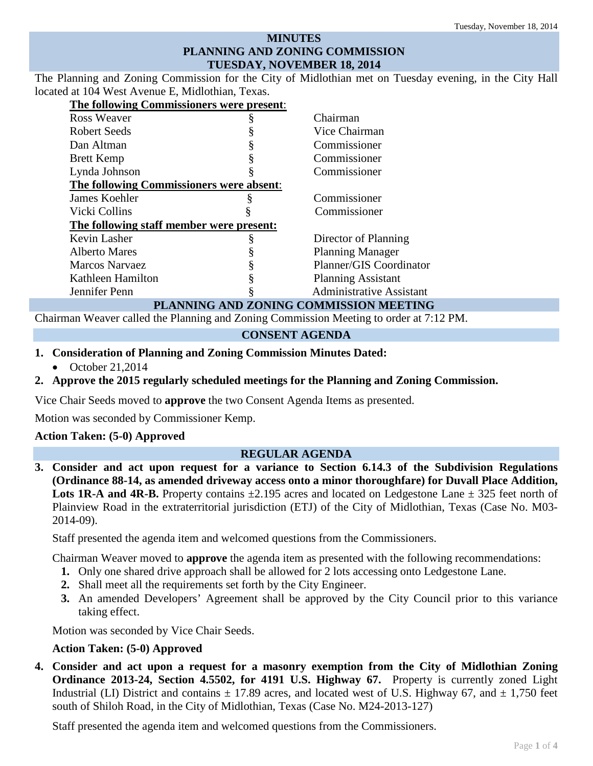# **MINUTES PLANNING AND ZONING COMMISSION TUESDAY, NOVEMBER 18, 2014**

The Planning and Zoning Commission for the City of Midlothian met on Tuesday evening, in the City Hall located at 104 West Avenue E, Midlothian, Texas.

| The following Commissioners were present: |   |                                 |
|-------------------------------------------|---|---------------------------------|
| Ross Weaver                               |   | Chairman                        |
| Robert Seeds                              |   | Vice Chairman                   |
| Dan Altman                                |   | Commissioner                    |
| <b>Brett Kemp</b>                         |   | Commissioner                    |
| Lynda Johnson                             |   | Commissioner                    |
| The following Commissioners were absent:  |   |                                 |
| James Koehler                             |   | Commissioner                    |
| Vicki Collins                             |   | Commissioner                    |
| The following staff member were present:  |   |                                 |
| Kevin Lasher                              | ş | Director of Planning            |
| <b>Alberto Mares</b>                      |   | <b>Planning Manager</b>         |
| <b>Marcos Narvaez</b>                     |   | Planner/GIS Coordinator         |
| Kathleen Hamilton                         |   | <b>Planning Assistant</b>       |
| Jennifer Penn                             |   | <b>Administrative Assistant</b> |
| PLANNING AND ZONING COMMISSION MEETING    |   |                                 |

Chairman Weaver called the Planning and Zoning Commission Meeting to order at 7:12 PM.

### **CONSENT AGENDA**

- **1. Consideration of Planning and Zoning Commission Minutes Dated:** 
	- October 21,2014

# **2. Approve the 2015 regularly scheduled meetings for the Planning and Zoning Commission.**

Vice Chair Seeds moved to **approve** the two Consent Agenda Items as presented.

Motion was seconded by Commissioner Kemp.

## **Action Taken: (5-0) Approved**

## **REGULAR AGENDA**

**3. Consider and act upon request for a variance to Section 6.14.3 of the Subdivision Regulations (Ordinance 88-14, as amended driveway access onto a minor thoroughfare) for Duvall Place Addition, Lots 1R-A and 4R-B.** Property contains  $\pm 2.195$  acres and located on Ledgestone Lane  $\pm 325$  feet north of Plainview Road in the extraterritorial jurisdiction (ETJ) of the City of Midlothian, Texas (Case No. M03- 2014-09).

Staff presented the agenda item and welcomed questions from the Commissioners.

Chairman Weaver moved to **approve** the agenda item as presented with the following recommendations:

- **1.** Only one shared drive approach shall be allowed for 2 lots accessing onto Ledgestone Lane.
- **2.** Shall meet all the requirements set forth by the City Engineer.
- **3.** An amended Developers' Agreement shall be approved by the City Council prior to this variance taking effect.

Motion was seconded by Vice Chair Seeds.

### **Action Taken: (5-0) Approved**

**4. Consider and act upon a request for a masonry exemption from the City of Midlothian Zoning Ordinance 2013-24, Section 4.5502, for 4191 U.S. Highway 67.** Property is currently zoned Light Industrial (LI) District and contains  $\pm$  17.89 acres, and located west of U.S. Highway 67, and  $\pm$  1,750 feet south of Shiloh Road, in the City of Midlothian, Texas (Case No. M24-2013-127)

Staff presented the agenda item and welcomed questions from the Commissioners. Page **<sup>1</sup>** of **<sup>4</sup>**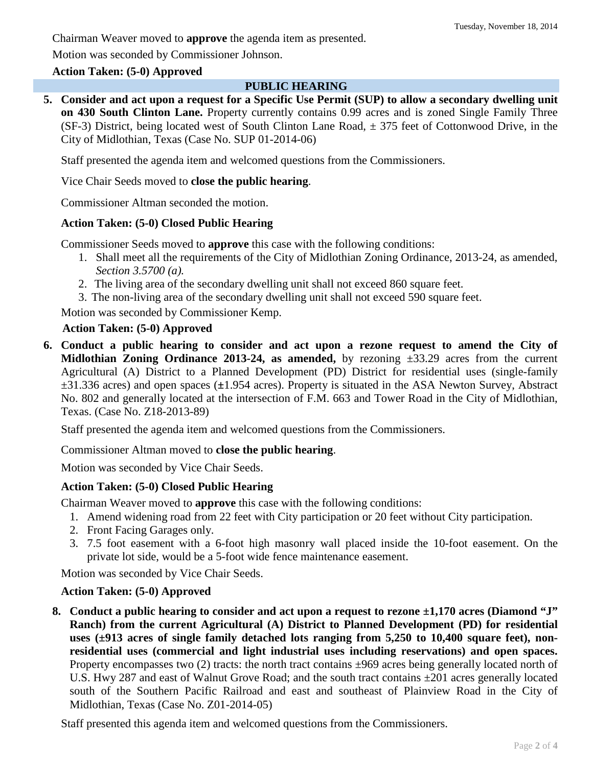Chairman Weaver moved to **approve** the agenda item as presented.

Motion was seconded by Commissioner Johnson.

## **Action Taken: (5-0) Approved**

### **PUBLIC HEARING**

**5. Consider and act upon a request for a Specific Use Permit (SUP) to allow a secondary dwelling unit on 430 South Clinton Lane.** Property currently contains 0.99 acres and is zoned Single Family Three (SF-3) District, being located west of South Clinton Lane Road,  $\pm$  375 feet of Cottonwood Drive, in the City of Midlothian, Texas (Case No. SUP 01-2014-06)

Staff presented the agenda item and welcomed questions from the Commissioners.

Vice Chair Seeds moved to **close the public hearing**.

Commissioner Altman seconded the motion.

**Action Taken: (5-0) Closed Public Hearing** Commissioner Seeds moved to **approve** this case with the following conditions:

- 1. Shall meet all the requirements of the City of Midlothian Zoning Ordinance, 2013-24, as amended, *Section 3.5700 (a).*
- 2. The living area of the secondary dwelling unit shall not exceed 860 square feet.
- 3. The non-living area of the secondary dwelling unit shall not exceed 590 square feet.

Motion was seconded by Commissioner Kemp.

### **Action Taken: (5-0) Approved**

**6. Conduct a public hearing to consider and act upon a rezone request to amend the City of Midlothian Zoning Ordinance 2013-24, as amended,** by rezoning ±33.29 acres from the current Agricultural (A) District to a Planned Development (PD) District for residential uses (single-family ±31.336 acres) and open spaces (**±**1.954 acres). Property is situated in the ASA Newton Survey, Abstract No. 802 and generally located at the intersection of F.M. 663 and Tower Road in the City of Midlothian, Texas. (Case No. Z18-2013-89)

Staff presented the agenda item and welcomed questions from the Commissioners.

Commissioner Altman moved to **close the public hearing**.

Motion was seconded by Vice Chair Seeds.

## **Action Taken: (5-0) Closed Public Hearing**

Chairman Weaver moved to **approve** this case with the following conditions:

- 1. Amend widening road from 22 feet with City participation or 20 feet without City participation.
- 2. Front Facing Garages only.
- 3. 7.5 foot easement with a 6-foot high masonry wall placed inside the 10-foot easement. On the private lot side, would be a 5-foot wide fence maintenance easement.

Motion was seconded by Vice Chair Seeds.

## **Action Taken: (5-0) Approved**

**8. Conduct a public hearing to consider and act upon a request to rezone ±1,170 acres (Diamond "J" Ranch) from the current Agricultural (A) District to Planned Development (PD) for residential uses (±913 acres of single family detached lots ranging from 5,250 to 10,400 square feet), nonresidential uses (commercial and light industrial uses including reservations) and open spaces.**  Property encompasses two  $(2)$  tracts: the north tract contains  $\pm 969$  acres being generally located north of U.S. Hwy 287 and east of Walnut Grove Road; and the south tract contains ±201 acres generally located south of the Southern Pacific Railroad and east and southeast of Plainview Road in the City of Midlothian, Texas (Case No. Z01-2014-05)

Staff presented this agenda item and welcomed questions from the Commissioners.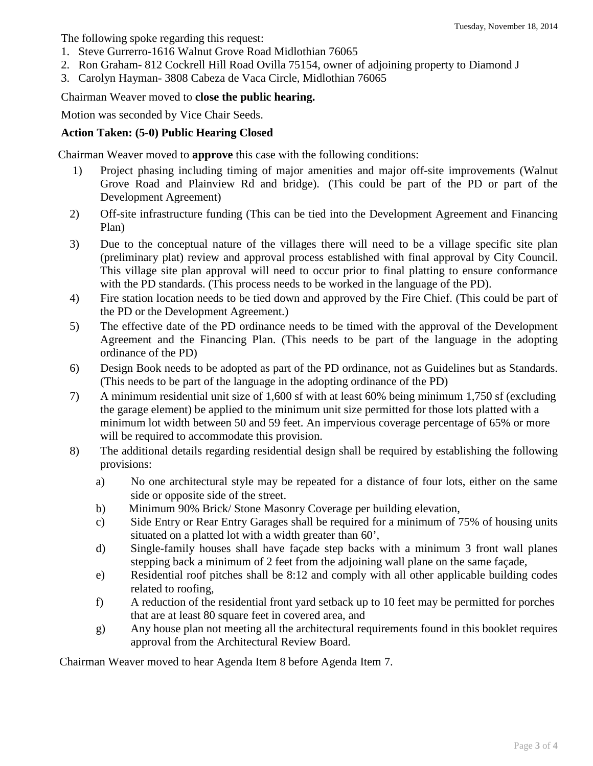The following spoke regarding this request:

- 1. Steve Gurrerro-1616 Walnut Grove Road Midlothian 76065
- 2. Ron Graham- 812 Cockrell Hill Road Ovilla 75154, owner of adjoining property to Diamond J
- 3. Carolyn Hayman- 3808 Cabeza de Vaca Circle, Midlothian 76065

Chairman Weaver moved to **close the public hearing.**

Motion was seconded by Vice Chair Seeds.

# **Action Taken: (5-0) Public Hearing Closed**

Chairman Weaver moved to **approve** this case with the following conditions:

- 1) Project phasing including timing of major amenities and major off-site improvements (Walnut Grove Road and Plainview Rd and bridge). (This could be part of the PD or part of the Development Agreement)
- 2) Off-site infrastructure funding (This can be tied into the Development Agreement and Financing Plan)
- 3) Due to the conceptual nature of the villages there will need to be a village specific site plan (preliminary plat) review and approval process established with final approval by City Council. This village site plan approval will need to occur prior to final platting to ensure conformance with the PD standards. (This process needs to be worked in the language of the PD).
- 4) Fire station location needs to be tied down and approved by the Fire Chief. (This could be part of the PD or the Development Agreement.)
- 5) The effective date of the PD ordinance needs to be timed with the approval of the Development Agreement and the Financing Plan. (This needs to be part of the language in the adopting ordinance of the PD)
- 6) Design Book needs to be adopted as part of the PD ordinance, not as Guidelines but as Standards. (This needs to be part of the language in the adopting ordinance of the PD)
- 7) A minimum residential unit size of 1,600 sf with at least 60% being minimum 1,750 sf (excluding the garage element) be applied to the minimum unit size permitted for those lots platted with a minimum lot width between 50 and 59 feet. An impervious coverage percentage of 65% or more will be required to accommodate this provision.
- 8) The additional details regarding residential design shall be required by establishing the following provisions:
	- a) No one architectural style may be repeated for a distance of four lots, either on the same side or opposite side of the street.
	- b) Minimum 90% Brick/ Stone Masonry Coverage per building elevation,
	- c) Side Entry or Rear Entry Garages shall be required for a minimum of 75% of housing units situated on a platted lot with a width greater than 60',
	- d) Single-family houses shall have façade step backs with a minimum 3 front wall planes stepping back a minimum of 2 feet from the adjoining wall plane on the same façade,
	- e) Residential roof pitches shall be 8:12 and comply with all other applicable building codes related to roofing,
	- f) A reduction of the residential front yard setback up to 10 feet may be permitted for porches that are at least 80 square feet in covered area, and
	- g) Any house plan not meeting all the architectural requirements found in this booklet requires approval from the Architectural Review Board.

Chairman Weaver moved to hear Agenda Item 8 before Agenda Item 7.